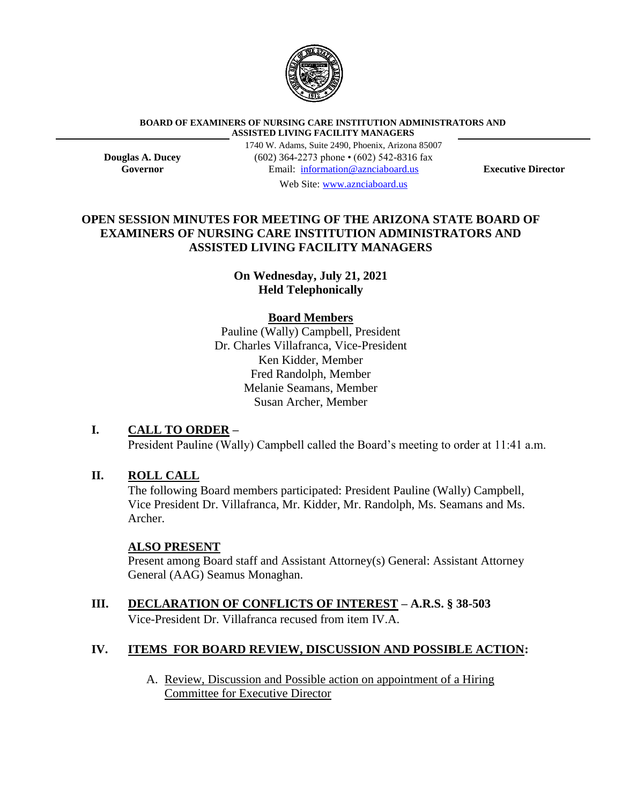

**BOARD OF EXAMINERS OF NURSING CARE INSTITUTION ADMINISTRATORS AND ASSISTED LIVING FACILITY MANAGERS**

1740 W. Adams, Suite 2490, Phoenix, Arizona 85007 **Douglas A. Ducey** (602) 364-2273 phone • (602) 542-8316 fax **Governor** Email: [information@aznciaboard.us](mailto:information@aznciaboard.us) **Executive Director** Web Site[: www.aznciaboard.us](http://www.aznciaboard.us/)

## **OPEN SESSION MINUTES FOR MEETING OF THE ARIZONA STATE BOARD OF EXAMINERS OF NURSING CARE INSTITUTION ADMINISTRATORS AND ASSISTED LIVING FACILITY MANAGERS**

**On Wednesday, July 21, 2021 Held Telephonically**

#### **Board Members**

Pauline (Wally) Campbell, President Dr. Charles Villafranca, Vice-President Ken Kidder, Member Fred Randolph, Member Melanie Seamans, Member Susan Archer, Member

## **I. CALL TO ORDER –**

President Pauline (Wally) Campbell called the Board's meeting to order at 11:41 a.m.

## **II. ROLL CALL**

 The following Board members participated: President Pauline (Wally) Campbell, Vice President Dr. Villafranca, Mr. Kidder, Mr. Randolph, Ms. Seamans and Ms. Archer.

#### **ALSO PRESENT**

Present among Board staff and Assistant Attorney(s) General: Assistant Attorney General (AAG) Seamus Monaghan.

**III. DECLARATION OF CONFLICTS OF INTEREST – A.R.S. § 38-503** Vice-President Dr. Villafranca recused from item IV.A.

## **IV. ITEMS FOR BOARD REVIEW, DISCUSSION AND POSSIBLE ACTION:**

A. Review, Discussion and Possible action on appointment of a Hiring Committee for Executive Director